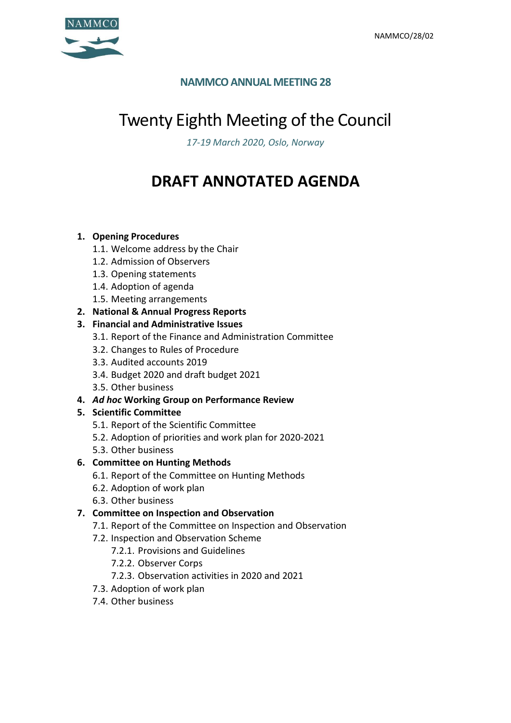

# **NAMMCO ANNUAL MEETING 28**

# Twenty Eighth Meeting of the Council

*17-19 March 2020, Oslo, Norway*

# **DRAFT ANNOTATED AGENDA**

## **1. Opening Procedures**

- 1.1. Welcome address by the Chair
- 1.2. Admission of Observers
- 1.3. Opening statements
- 1.4. Adoption of agenda
- 1.5. Meeting arrangements
- **2. National & Annual Progress Reports**

## **3. Financial and Administrative Issues**

- 3.1. Report of the Finance and Administration Committee
- 3.2. Changes to Rules of Procedure
- 3.3. Audited accounts 2019
- 3.4. Budget 2020 and draft budget 2021
- 3.5. Other business
- **4.** *Ad hoc* **Working Group on Performance Review**

## **5. Scientific Committee**

- 5.1. Report of the Scientific Committee
- 5.2. Adoption of priorities and work plan for 2020-2021
- 5.3. Other business

## **6. Committee on Hunting Methods**

- 6.1. Report of the Committee on Hunting Methods
- 6.2. Adoption of work plan
- 6.3. Other business

## **7. Committee on Inspection and Observation**

- 7.1. Report of the Committee on Inspection and Observation
- 7.2. Inspection and Observation Scheme
	- 7.2.1. Provisions and Guidelines
	- 7.2.2. Observer Corps
	- 7.2.3. Observation activities in 2020 and 2021
- 7.3. Adoption of work plan
- 7.4. Other business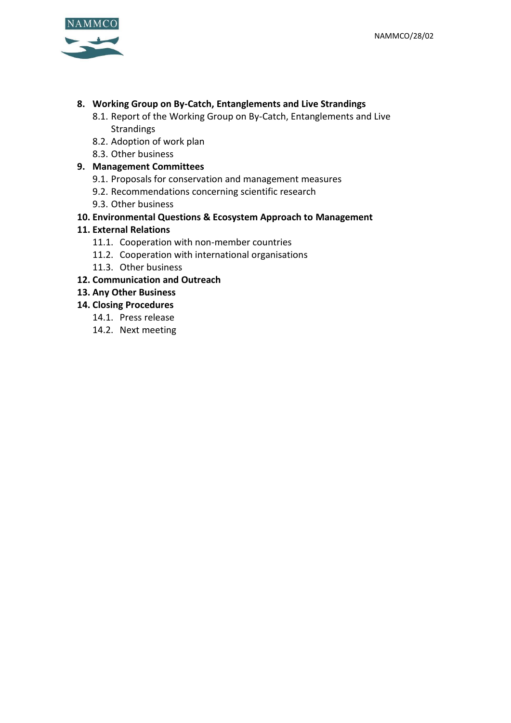

## **8. Working Group on By-Catch, Entanglements and Live Strandings**

- 8.1. Report of the Working Group on By-Catch, Entanglements and Live **Strandings**
- 8.2. Adoption of work plan
- 8.3. Other business

## **9. Management Committees**

- 9.1. Proposals for conservation and management measures
- 9.2. Recommendations concerning scientific research
- 9.3. Other business

## **10. Environmental Questions & Ecosystem Approach to Management**

## **11. External Relations**

- 11.1. Cooperation with non-member countries
- 11.2. Cooperation with international organisations
- 11.3. Other business

## **12. Communication and Outreach**

**13. Any Other Business**

## **14. Closing Procedures**

- 14.1. Press release
- 14.2. Next meeting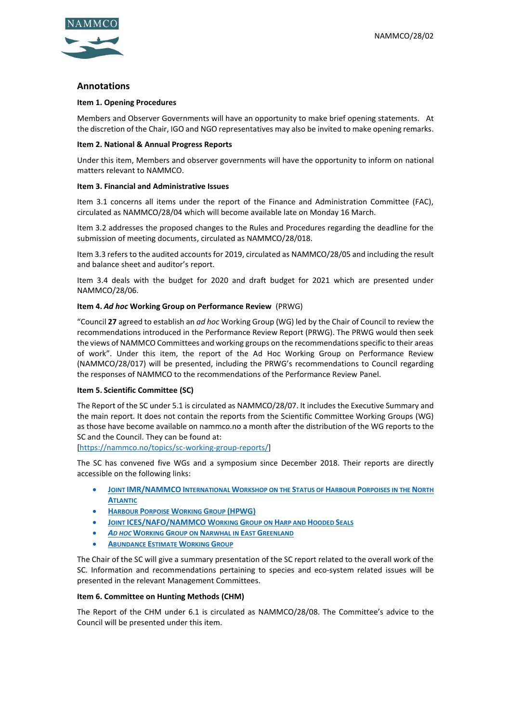

## **Annotations**

### **Item 1. Opening Procedures**

Members and Observer Governments will have an opportunity to make brief opening statements. At the discretion of the Chair, IGO and NGO representatives may also be invited to make opening remarks.

### **Item 2. National & Annual Progress Reports**

Under this item, Members and observer governments will have the opportunity to inform on national matters relevant to NAMMCO.

### **Item 3. Financial and Administrative Issues**

Item 3.1 concerns all items under the report of the Finance and Administration Committee (FAC), circulated as NAMMCO/28/04 which will become available late on Monday 16 March.

Item 3.2 addresses the proposed changes to the Rules and Procedures regarding the deadline for the submission of meeting documents, circulated as NAMMCO/28/018.

Item 3.3 refers to the audited accounts for 2019, circulated as NAMMCO/28/05 and including the result and balance sheet and auditor's report.

Item 3.4 deals with the budget for 2020 and draft budget for 2021 which are presented under NAMMCO/28/06.

### **Item 4.** *Ad hoc* **Working Group on Performance Review** (PRWG)

"Council **27** agreed to establish an *ad hoc* Working Group (WG) led by the Chair of Council to review the recommendations introduced in the Performance Review Report (PRWG). The PRWG would then seek the views of NAMMCO Committees and working groups on the recommendations specific to their areas of work". Under this item, the report of the Ad Hoc Working Group on Performance Review (NAMMCO/28/017) will be presented, including the PRWG's recommendations to Council regarding the responses of NAMMCO to the recommendations of the Performance Review Panel.

### **Item 5. Scientific Committee (SC)**

The Report of the SC under 5.1 is circulated as NAMMCO/28/07. It includes the Executive Summary and the main report. It does not contain the reports from the Scientific Committee Working Groups (WG) as those have become available on nammco.no a month after the distribution of the WG reports to the SC and the Council. They can be found at:

[\[https://nammco.no/topics/sc-working-group-reports/\]](https://nammco.no/topics/sc-working-group-reports/)

The SC has convened five WGs and a symposium since December 2018. Their reports are directly accessible on the following links:

- **JOINT [IMR/NAMMCO](https://nammco.no/wp-content/uploads/2019/02/final-report_hpws_2019.pdf) INTERNATIONAL WORKSHOP ON THE STATUS OF HARBOUR PORPOISES IN THE NORTH A[TLANTIC](https://nammco.no/wp-content/uploads/2019/02/final-report_hpws_2019.pdf)**
- **HARBOUR PORPOISE WORKING GROUP [\(HPWG\)](https://nammco.no/topics/hpwg_reports/)**
- **JOINT [ICES/NAFO/NAMMCO](https://nammco.no/topics/wgharp_reports/) WORKING GROUP ON HARP AND HOODED SEALS**
- *AD HOC* **WORKING GROUP ON N[ARWHAL IN](https://nammco.no/topics/narwhal_beluga_reports/) EAST GREENLAND**
- **A[BUNDANCE](https://nammco.no/topics/abundance_estimates_reports/) ESTIMATE WORKING GROUP**

The Chair of the SC will give a summary presentation of the SC report related to the overall work of the SC. Information and recommendations pertaining to species and eco-system related issues will be presented in the relevant Management Committees.

### **Item 6. Committee on Hunting Methods (CHM)**

The Report of the CHM under 6.1 is circulated as NAMMCO/28/08. The Committee's advice to the Council will be presented under this item.